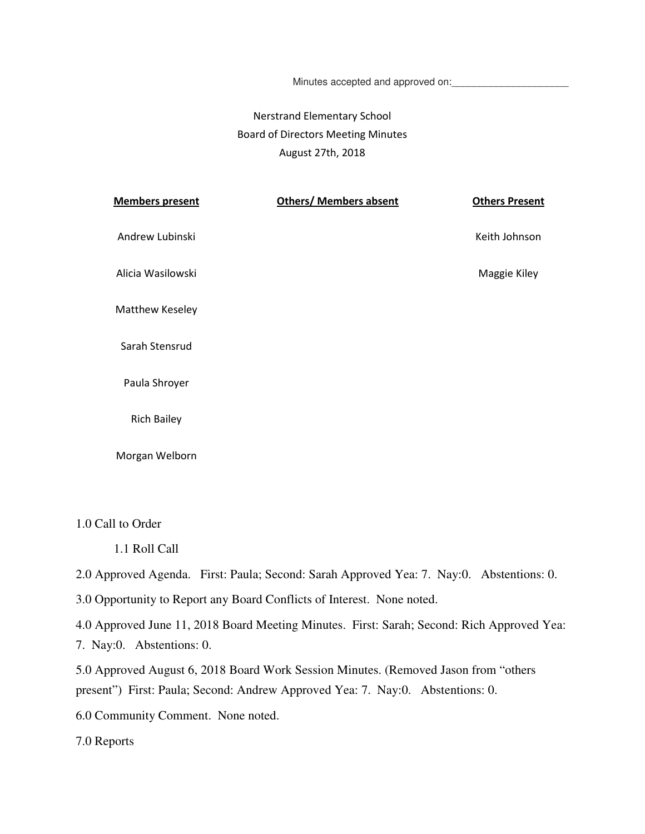Minutes accepted and approved on:

## Nerstrand Elementary School Board of Directors Meeting Minutes August 27th, 2018

| <b>Members present</b> | <b>Others/ Members absent</b> | <b>Others Present</b> |
|------------------------|-------------------------------|-----------------------|
| Andrew Lubinski        |                               | Keith Johnson         |
| Alicia Wasilowski      |                               | Maggie Kiley          |
| Matthew Keseley        |                               |                       |
| Sarah Stensrud         |                               |                       |
| Paula Shroyer          |                               |                       |
| <b>Rich Bailey</b>     |                               |                       |

Morgan Welborn

1.0 Call to Order

1.1 Roll Call

2.0 Approved Agenda. First: Paula; Second: Sarah Approved Yea: 7. Nay:0. Abstentions: 0.

3.0 Opportunity to Report any Board Conflicts of Interest. None noted.

4.0 Approved June 11, 2018 Board Meeting Minutes. First: Sarah; Second: Rich Approved Yea: 7. Nay:0. Abstentions: 0.

5.0 Approved August 6, 2018 Board Work Session Minutes. (Removed Jason from "others present") First: Paula; Second: Andrew Approved Yea: 7. Nay:0. Abstentions: 0.

6.0 Community Comment. None noted.

7.0 Reports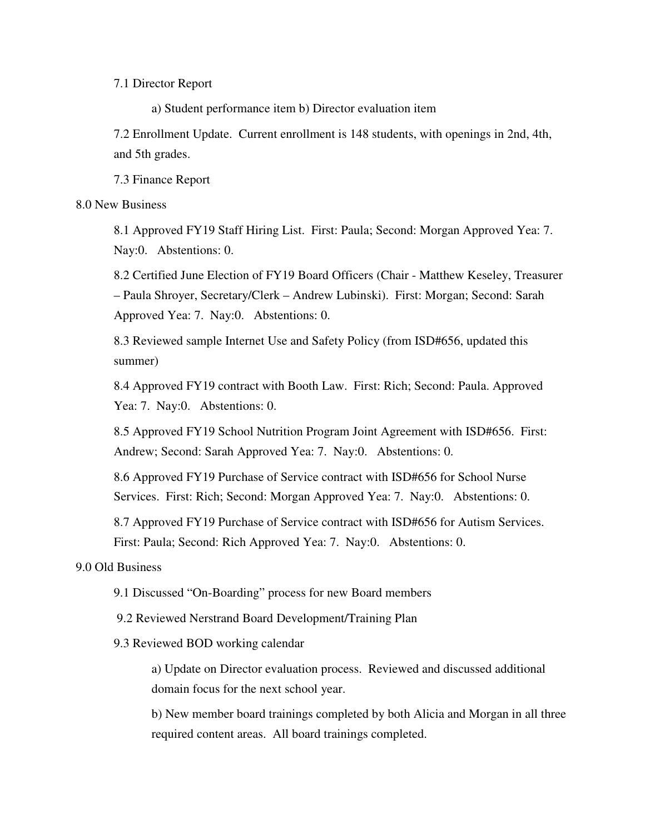7.1 Director Report

a) Student performance item b) Director evaluation item

7.2 Enrollment Update. Current enrollment is 148 students, with openings in 2nd, 4th, and 5th grades.

7.3 Finance Report

## 8.0 New Business

8.1 Approved FY19 Staff Hiring List. First: Paula; Second: Morgan Approved Yea: 7. Nay:0. Abstentions: 0.

8.2 Certified June Election of FY19 Board Officers (Chair - Matthew Keseley, Treasurer – Paula Shroyer, Secretary/Clerk – Andrew Lubinski). First: Morgan; Second: Sarah Approved Yea: 7. Nay:0. Abstentions: 0.

8.3 Reviewed sample Internet Use and Safety Policy (from ISD#656, updated this summer)

8.4 Approved FY19 contract with Booth Law. First: Rich; Second: Paula. Approved Yea: 7. Nay:0. Abstentions: 0.

8.5 Approved FY19 School Nutrition Program Joint Agreement with ISD#656. First: Andrew; Second: Sarah Approved Yea: 7. Nay:0. Abstentions: 0.

8.6 Approved FY19 Purchase of Service contract with ISD#656 for School Nurse Services. First: Rich; Second: Morgan Approved Yea: 7. Nay:0. Abstentions: 0.

8.7 Approved FY19 Purchase of Service contract with ISD#656 for Autism Services. First: Paula; Second: Rich Approved Yea: 7. Nay:0. Abstentions: 0.

9.0 Old Business

9.1 Discussed "On-Boarding" process for new Board members

9.2 Reviewed Nerstrand Board Development/Training Plan

9.3 Reviewed BOD working calendar

a) Update on Director evaluation process. Reviewed and discussed additional domain focus for the next school year.

b) New member board trainings completed by both Alicia and Morgan in all three required content areas. All board trainings completed.